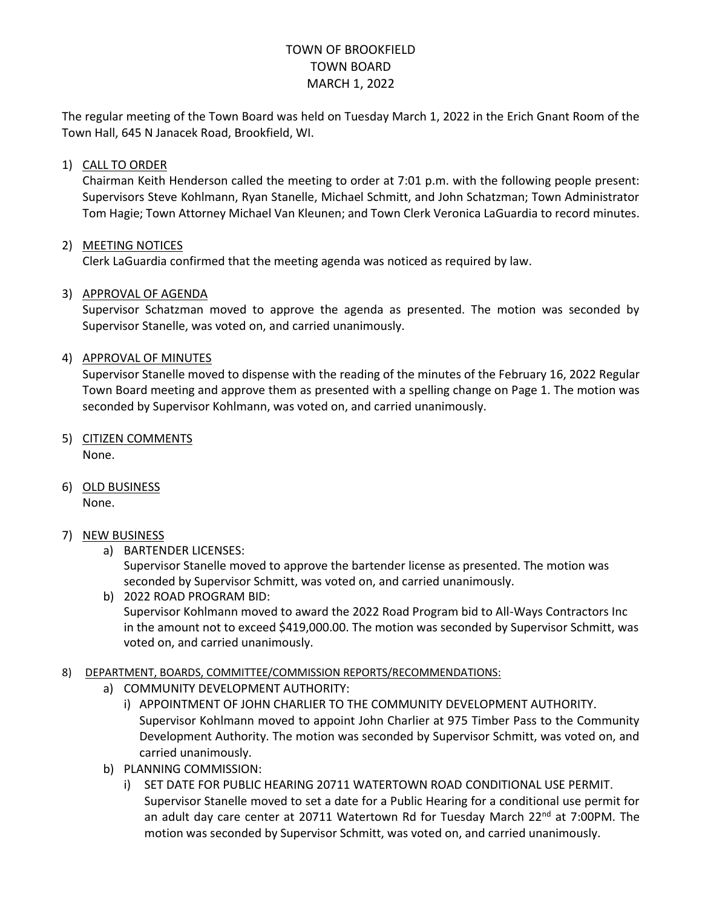# TOWN OF BROOKFIELD TOWN BOARD MARCH 1, 2022

The regular meeting of the Town Board was held on Tuesday March 1, 2022 in the Erich Gnant Room of the Town Hall, 645 N Janacek Road, Brookfield, WI.

### 1) CALL TO ORDER

Chairman Keith Henderson called the meeting to order at 7:01 p.m. with the following people present: Supervisors Steve Kohlmann, Ryan Stanelle, Michael Schmitt, and John Schatzman; Town Administrator Tom Hagie; Town Attorney Michael Van Kleunen; and Town Clerk Veronica LaGuardia to record minutes.

### 2) MEETING NOTICES

Clerk LaGuardia confirmed that the meeting agenda was noticed as required by law.

### 3) APPROVAL OF AGENDA

Supervisor Schatzman moved to approve the agenda as presented. The motion was seconded by Supervisor Stanelle, was voted on, and carried unanimously.

### 4) APPROVAL OF MINUTES

Supervisor Stanelle moved to dispense with the reading of the minutes of the February 16, 2022 Regular Town Board meeting and approve them as presented with a spelling change on Page 1. The motion was seconded by Supervisor Kohlmann, was voted on, and carried unanimously.

- 5) CITIZEN COMMENTS None.
- 6) OLD BUSINESS

None.

#### 7) NEW BUSINESS

a) BARTENDER LICENSES:

Supervisor Stanelle moved to approve the bartender license as presented. The motion was seconded by Supervisor Schmitt, was voted on, and carried unanimously.

b) 2022 ROAD PROGRAM BID: Supervisor Kohlmann moved to award the 2022 Road Program bid to All-Ways Contractors Inc in the amount not to exceed \$419,000.00. The motion was seconded by Supervisor Schmitt, was voted on, and carried unanimously.

#### 8) DEPARTMENT, BOARDS, COMMITTEE/COMMISSION REPORTS/RECOMMENDATIONS:

- a) COMMUNITY DEVELOPMENT AUTHORITY:
	- i) APPOINTMENT OF JOHN CHARLIER TO THE COMMUNITY DEVELOPMENT AUTHORITY. Supervisor Kohlmann moved to appoint John Charlier at 975 Timber Pass to the Community Development Authority. The motion was seconded by Supervisor Schmitt, was voted on, and carried unanimously.
- b) PLANNING COMMISSION:
	- i) SET DATE FOR PUBLIC HEARING 20711 WATERTOWN ROAD CONDITIONAL USE PERMIT. Supervisor Stanelle moved to set a date for a Public Hearing for a conditional use permit for an adult day care center at 20711 Watertown Rd for Tuesday March 22<sup>nd</sup> at 7:00PM. The motion was seconded by Supervisor Schmitt, was voted on, and carried unanimously.